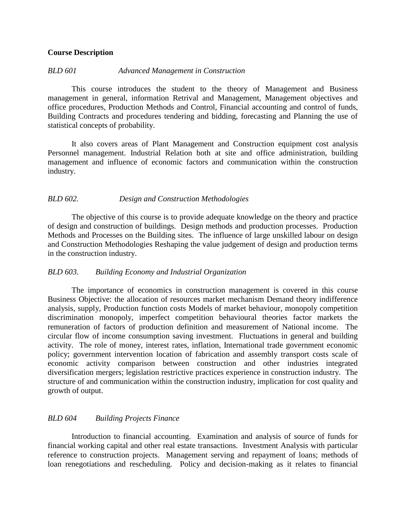## **Course Description**

## *BLD 601 Advanced Management in Construction*

This course introduces the student to the theory of Management and Business management in general, information Retrival and Management, Management objectives and office procedures, Production Methods and Control, Financial accounting and control of funds, Building Contracts and procedures tendering and bidding, forecasting and Planning the use of statistical concepts of probability.

It also covers areas of Plant Management and Construction equipment cost analysis Personnel management. Industrial Relation both at site and office administration, building management and influence of economic factors and communication within the construction industry.

## *BLD 602. Design and Construction Methodologies*

The objective of this course is to provide adequate knowledge on the theory and practice of design and construction of buildings. Design methods and production processes. Production Methods and Processes on the Building sites. The influence of large unskilled labour on design and Construction Methodologies Reshaping the value judgement of design and production terms in the construction industry.

## *BLD 603. Building Economy and Industrial Organization*

The importance of economics in construction management is covered in this course Business Objective: the allocation of resources market mechanism Demand theory indifference analysis, supply, Production function costs Models of market behaviour, monopoly competition discrimination monopoly, imperfect competition behavioural theories factor markets the remuneration of factors of production definition and measurement of National income. The circular flow of income consumption saving investment. Fluctuations in general and building activity. The role of money, interest rates, inflation, International trade government economic policy; government intervention location of fabrication and assembly transport costs scale of economic activity comparison between construction and other industries integrated diversification mergers; legislation restrictive practices experience in construction industry. The structure of and communication within the construction industry, implication for cost quality and growth of output.

## *BLD 604 Building Projects Finance*

Introduction to financial accounting. Examination and analysis of source of funds for financial working capital and other real estate transactions. Investment Analysis with particular reference to construction projects. Management serving and repayment of loans; methods of loan renegotiations and rescheduling. Policy and decision-making as it relates to financial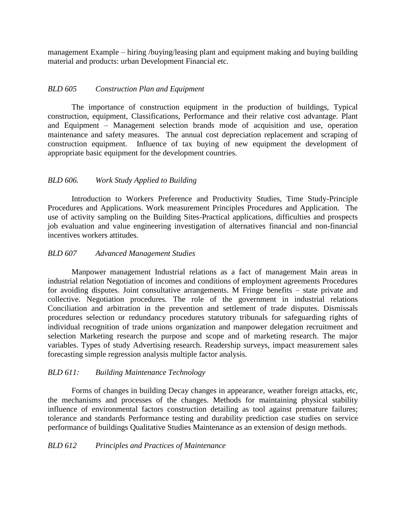management Example – hiring /buying/leasing plant and equipment making and buying building material and products: urban Development Financial etc.

## *BLD 605 Construction Plan and Equipment*

The importance of construction equipment in the production of buildings, Typical construction, equipment, Classifications, Performance and their relative cost advantage. Plant and Equipment – Management selection brands mode of acquisition and use, operation maintenance and safety measures. The annual cost depreciation replacement and scraping of construction equipment. Influence of tax buying of new equipment the development of appropriate basic equipment for the development countries.

## *BLD 606. Work Study Applied to Building*

Introduction to Workers Preference and Productivity Studies, Time Study-Principle Procedures and Applications. Work measurement Principles Procedures and Application. The use of activity sampling on the Building Sites-Practical applications, difficulties and prospects job evaluation and value engineering investigation of alternatives financial and non-financial incentives workers attitudes.

## *BLD 607 Advanced Management Studies*

Manpower management Industrial relations as a fact of management Main areas in industrial relation Negotiation of incomes and conditions of employment agreements Procedures for avoiding disputes. Joint consultative arrangements. M Fringe benefits – state private and collective. Negotiation procedures. The role of the government in industrial relations Conciliation and arbitration in the prevention and settlement of trade disputes. Dismissals procedures selection or redundancy procedures statutory tribunals for safeguarding rights of individual recognition of trade unions organization and manpower delegation recruitment and selection Marketing research the purpose and scope and of marketing research. The major variables. Types of study Advertising research. Readership surveys, impact measurement sales forecasting simple regression analysis multiple factor analysis.

## *BLD 611: Building Maintenance Technology*

Forms of changes in building Decay changes in appearance, weather foreign attacks, etc, the mechanisms and processes of the changes. Methods for maintaining physical stability influence of environmental factors construction detailing as tool against premature failures; tolerance and standards Performance testing and durability prediction case studies on service performance of buildings Qualitative Studies Maintenance as an extension of design methods.

# *BLD 612 Principles and Practices of Maintenance*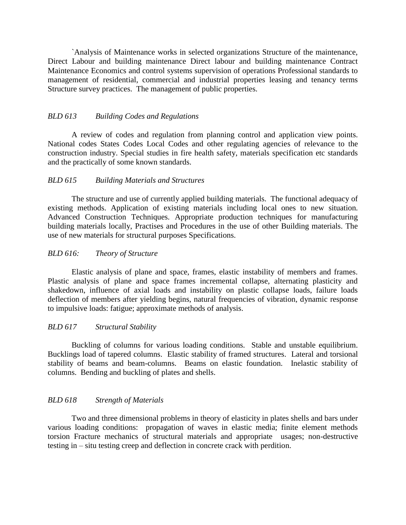`Analysis of Maintenance works in selected organizations Structure of the maintenance, Direct Labour and building maintenance Direct labour and building maintenance Contract Maintenance Economics and control systems supervision of operations Professional standards to management of residential, commercial and industrial properties leasing and tenancy terms Structure survey practices. The management of public properties.

## *BLD 613 Building Codes and Regulations*

A review of codes and regulation from planning control and application view points. National codes States Codes Local Codes and other regulating agencies of relevance to the construction industry. Special studies in fire health safety, materials specification etc standards and the practically of some known standards.

## *BLD 615 Building Materials and Structures*

The structure and use of currently applied building materials. The functional adequacy of existing methods. Application of existing materials including local ones to new situation. Advanced Construction Techniques. Appropriate production techniques for manufacturing building materials locally, Practises and Procedures in the use of other Building materials. The use of new materials for structural purposes Specifications.

## *BLD 616: Theory of Structure*

Elastic analysis of plane and space, frames, elastic instability of members and frames. Plastic analysis of plane and space frames incremental collapse, alternating plasticity and shakedown, influence of axial loads and instability on plastic collapse loads, failure loads deflection of members after yielding begins, natural frequencies of vibration, dynamic response to impulsive loads: fatigue; approximate methods of analysis.

## *BLD 617 Structural Stability*

Buckling of columns for various loading conditions. Stable and unstable equilibrium. Bucklings load of tapered columns. Elastic stability of framed structures. Lateral and torsional stability of beams and beam-columns. Beams on elastic foundation. Inelastic stability of columns. Bending and buckling of plates and shells.

## *BLD 618 Strength of Materials*

Two and three dimensional problems in theory of elasticity in plates shells and bars under various loading conditions: propagation of waves in elastic media; finite element methods torsion Fracture mechanics of structural materials and appropriate usages; non-destructive testing in – situ testing creep and deflection in concrete crack with perdition.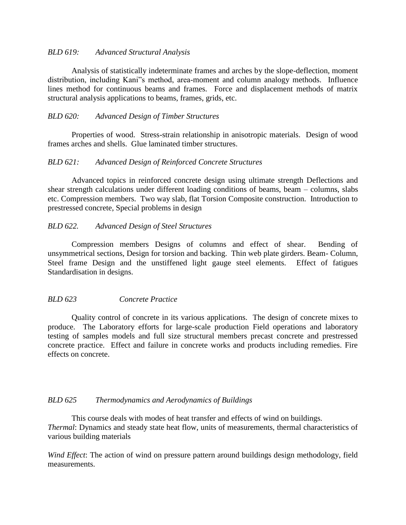## *BLD 619: Advanced Structural Analysis*

Analysis of statistically indeterminate frames and arches by the slope-deflection, moment distribution, including Kani"s method, area-moment and column analogy methods. Influence lines method for continuous beams and frames. Force and displacement methods of matrix structural analysis applications to beams, frames, grids, etc.

## *BLD 620: Advanced Design of Timber Structures*

Properties of wood. Stress-strain relationship in anisotropic materials. Design of wood frames arches and shells. Glue laminated timber structures.

#### *BLD 621: Advanced Design of Reinforced Concrete Structures*

Advanced topics in reinforced concrete design using ultimate strength Deflections and shear strength calculations under different loading conditions of beams, beam – columns, slabs etc. Compression members. Two way slab, flat Torsion Composite construction. Introduction to prestressed concrete, Special problems in design

## *BLD 622. Advanced Design of Steel Structures*

Compression members Designs of columns and effect of shear. Bending of unsymmetrical sections, Design for torsion and backing. Thin web plate girders. Beam- Column, Steel frame Design and the unstiffened light gauge steel elements. Effect of fatigues Standardisation in designs.

## *BLD 623 Concrete Practice*

Quality control of concrete in its various applications. The design of concrete mixes to produce. The Laboratory efforts for large-scale production Field operations and laboratory testing of samples models and full size structural members precast concrete and prestressed concrete practice. Effect and failure in concrete works and products including remedies. Fire effects on concrete.

#### *BLD 625 Thermodynamics and Aerodynamics of Buildings*

This course deals with modes of heat transfer and effects of wind on buildings. *Thermal*: Dynamics and steady state heat flow, units of measurements, thermal characteristics of various building materials

*Wind Effect*: The action of wind on pressure pattern around buildings design methodology, field measurements.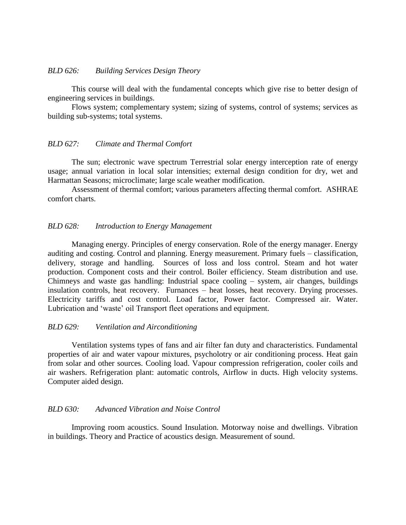## *BLD 626: Building Services Design Theory*

This course will deal with the fundamental concepts which give rise to better design of engineering services in buildings.

Flows system; complementary system; sizing of systems, control of systems; services as building sub-systems; total systems.

## *BLD 627: Climate and Thermal Comfort*

The sun; electronic wave spectrum Terrestrial solar energy interception rate of energy usage; annual variation in local solar intensities; external design condition for dry, wet and Harmattan Seasons; microclimate; large scale weather modification.

Assessment of thermal comfort; various parameters affecting thermal comfort. ASHRAE comfort charts.

## *BLD 628: Introduction to Energy Management*

Managing energy. Principles of energy conservation. Role of the energy manager. Energy auditing and costing. Control and planning. Energy measurement. Primary fuels – classification, delivery, storage and handling. Sources of loss and loss control. Steam and hot water production. Component costs and their control. Boiler efficiency. Steam distribution and use. Chimneys and waste gas handling: Industrial space cooling – system, air changes, buildings insulation controls, heat recovery. Furnances – heat losses, heat recovery. Drying processes. Electricity tariffs and cost control. Load factor, Power factor. Compressed air. Water. Lubrication and 'waste' oil Transport fleet operations and equipment.

## *BLD 629: Ventilation and Airconditioning*

Ventilation systems types of fans and air filter fan duty and characteristics. Fundamental properties of air and water vapour mixtures, psycholotry or air conditioning process. Heat gain from solar and other sources. Cooling load. Vapour compression refrigeration, cooler coils and air washers. Refrigeration plant: automatic controls, Airflow in ducts. High velocity systems. Computer aided design.

## *BLD 630: Advanced Vibration and Noise Control*

Improving room acoustics. Sound Insulation. Motorway noise and dwellings. Vibration in buildings. Theory and Practice of acoustics design. Measurement of sound.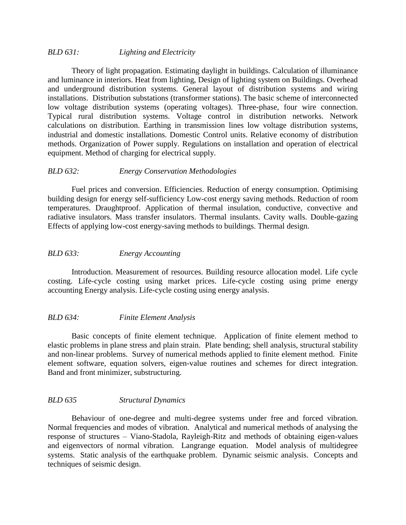## *BLD 631: Lighting and Electricity*

Theory of light propagation. Estimating daylight in buildings. Calculation of illuminance and luminance in interiors. Heat from lighting, Design of lighting system on Buildings. Overhead and underground distribution systems. General layout of distribution systems and wiring installations. Distribution substations (transformer stations). The basic scheme of interconnected low voltage distribution systems (operating voltages). Three-phase, four wire connection. Typical rural distribution systems. Voltage control in distribution networks. Network calculations on distribution. Earthing in transmission lines low voltage distribution systems, industrial and domestic installations. Domestic Control units. Relative economy of distribution methods. Organization of Power supply. Regulations on installation and operation of electrical equipment. Method of charging for electrical supply.

## *BLD 632: Energy Conservation Methodologies*

Fuel prices and conversion. Efficiencies. Reduction of energy consumption. Optimising building design for energy self-sufficiency Low-cost energy saving methods. Reduction of room temperatures. Draughtproof. Application of thermal insulation, conductive, convective and radiative insulators. Mass transfer insulators. Thermal insulants. Cavity walls. Double-gazing Effects of applying low-cost energy-saving methods to buildings. Thermal design.

## *BLD 633: Energy Accounting*

Introduction. Measurement of resources. Building resource allocation model. Life cycle costing. Life-cycle costing using market prices. Life-cycle costing using prime energy accounting Energy analysis. Life-cycle costing using energy analysis.

## *BLD 634: Finite Element Analysis*

Basic concepts of finite element technique. Application of finite element method to elastic problems in plane stress and plain strain. Plate bending; shell analysis, structural stability and non-linear problems. Survey of numerical methods applied to finite element method. Finite element software, equation solvers, eigen-value routines and schemes for direct integration. Band and front minimizer, substructuring.

## *BLD 635 Structural Dynamics*

Behaviour of one-degree and multi-degree systems under free and forced vibration. Normal frequencies and modes of vibration. Analytical and numerical methods of analysing the response of structures – Viano-Stadola, Rayleigh-Ritz and methods of obtaining eigen-values and eigenvectors of normal vibration. Langrange equation. Model analysis of multidegree systems. Static analysis of the earthquake problem. Dynamic seismic analysis. Concepts and techniques of seismic design.